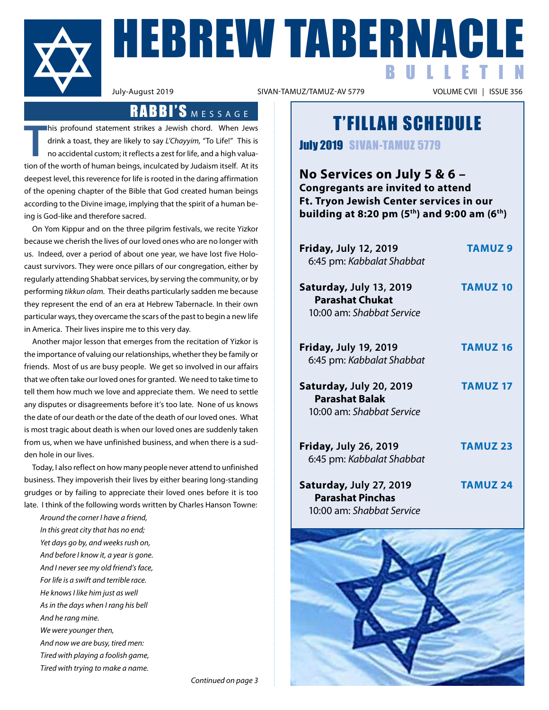

**FRREW TABERNACLE** BULLETIN

SIVAN-TAMUZ/TAMUZ-AV 5779

# RABBI'S MESSAGE

**T** his profound statement strikes a Jewish chord. When Jews drink a toast, they are likely to say *L'Chayyim,* "To Life!" This is no accidental custom; it reflects a zest for life, and a high valuation of the worth of human beings, inculcated by Judaism itself. At its deepest level, this reverence for life is rooted in the daring affirmation of the opening chapter of the Bible that God created human beings according to the Divine image, implying that the spirit of a human being is God-like and therefore sacred.

On Yom Kippur and on the three pilgrim festivals, we recite Yizkor because we cherish the lives of our loved ones who are no longer with us. Indeed, over a period of about one year, we have lost five Holocaust survivors. They were once pillars of our congregation, either by regularly attending Shabbat services, by serving the community, or by performing *tikkun olam.* Their deaths particularly sadden me because they represent the end of an era at Hebrew Tabernacle. In their own particular ways, they overcame the scars of the past to begin a new life in America. Their lives inspire me to this very day.

Another major lesson that emerges from the recitation of Yizkor is the importance of valuing our relationships, whether they be family or friends. Most of us are busy people. We get so involved in our affairs that we often take our loved ones for granted. We need to take time to tell them how much we love and appreciate them. We need to settle any disputes or disagreements before it's too late. None of us knows the date of our death or the date of the death of our loved ones. What is most tragic about death is when our loved ones are suddenly taken from us, when we have unfinished business, and when there is a sudden hole in our lives.

Today, I also reflect on how many people never attend to unfinished business. They impoverish their lives by either bearing long-standing grudges or by failing to appreciate their loved ones before it is too late. I think of the following words written by Charles Hanson Towne:

 *Around the corner I have a friend, In this great city that has no end; Yet days go by, and weeks rush on, And before I know it, a year is gone. And I never see my old friend's face, For life is a swift and terrible race. He knows I like him just as well As in the days when I rang his bell And he rang mine. We were younger then, And now we are busy, tired men: Tired with playing a foolish game, Tired with trying to make a name.*

# T'FILLAH SCHEDULE

July 2019 SIVAN-TAMUZ 5779

### **No Services on July 5 & 6 – Congregants are invited to attend Ft. Tryon Jewish Center services in our building at 8:20 pm (5th) and 9:00 am (6th)**

| <b>Friday, July 12, 2019</b><br>6:45 pm: Kabbalat Shabbat                       | <b>TAMUZ9</b>   |
|---------------------------------------------------------------------------------|-----------------|
| Saturday, July 13, 2019<br><b>Parashat Chukat</b><br>10:00 am: Shabbat Service  | <b>TAMUZ 10</b> |
| <b>Friday, July 19, 2019</b><br>6:45 pm: Kabbalat Shabbat                       | <b>TAMUZ 16</b> |
| Saturday, July 20, 2019<br><b>Parashat Balak</b><br>10:00 am: Shabbat Service   | <b>TAMUZ 17</b> |
| <b>Friday, July 26, 2019</b><br>6:45 pm: Kabbalat Shabbat                       | <b>TAMUZ 23</b> |
| Saturday, July 27, 2019<br><b>Parashat Pinchas</b><br>10:00 am: Shabbat Service | <b>TAMUZ 24</b> |

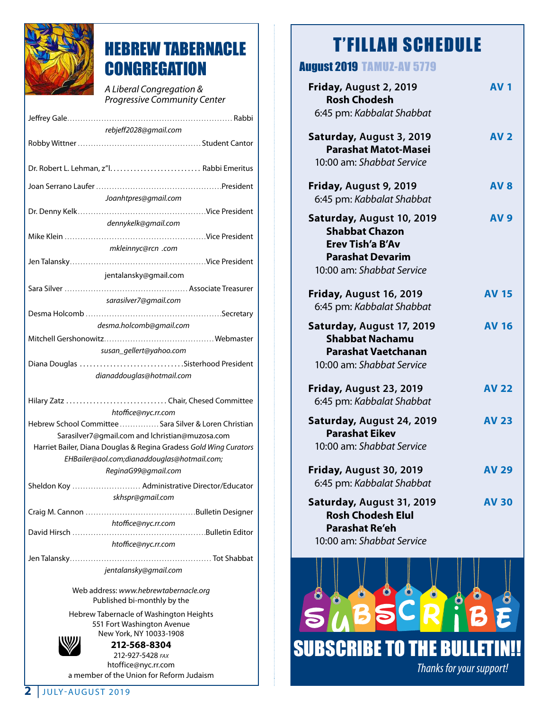

## HEBREW TABERNACLE **CONGREGATION**

*A Liberal Congregation & Progressive Community Center*

| rebjeff2028@gmail.com                                             |  |  |
|-------------------------------------------------------------------|--|--|
|                                                                   |  |  |
|                                                                   |  |  |
|                                                                   |  |  |
|                                                                   |  |  |
| Joanhtpres@qmail.com                                              |  |  |
|                                                                   |  |  |
| dennykelk@gmail.com                                               |  |  |
|                                                                   |  |  |
| mkleinnyc@rcn .com                                                |  |  |
|                                                                   |  |  |
| jentalansky@gmail.com                                             |  |  |
|                                                                   |  |  |
| sarasilver7@gmail.com                                             |  |  |
|                                                                   |  |  |
| desma.holcomb@gmail.com                                           |  |  |
|                                                                   |  |  |
| susan_gellert@yahoo.com                                           |  |  |
| Diana Douglas Sisterhood President                                |  |  |
| dianaddouglas@hotmail.com                                         |  |  |
|                                                                   |  |  |
| Hilary Zatz Chair, Chesed Committee                               |  |  |
| htoffice@nyc.rr.com                                               |  |  |
| Hebrew School Committee  Sara Silver & Loren Christian            |  |  |
| Sarasilver7@gmail.com and lchristian@muzosa.com                   |  |  |
| Harriet Bailer, Diana Douglas & Regina Gradess Gold Wing Curators |  |  |
| EHBailer@aol.com;dianaddouglas@hotmail.com;                       |  |  |
| ReginaG99@gmail.com                                               |  |  |
| Sheldon Koy  Administrative Director/Educator                     |  |  |
| skhspr@gmail.com                                                  |  |  |
|                                                                   |  |  |
| htoffice@nyc.rr.com                                               |  |  |
|                                                                   |  |  |
| htoffice@nyc.rr.com                                               |  |  |
|                                                                   |  |  |
| jentalansky@gmail.com                                             |  |  |

Web address: *www.hebrewtabernacle.org* Published bi-monthly by the

Hebrew Tabernacle of Washington Heights 551 Fort Washington Avenue New York, NY 10033-1908



**212-568-8304** 212-927-5428 *fax* htoffice@nyc.rr.com a member of the Union for Reform Judaism

# T'FILLAH SCHEDULE

### August 2019 TAMUZ-AV 5779

| Friday, August 2, 2019<br><b>Rosh Chodesh</b>                                                                                         | <b>AV 1</b>  |
|---------------------------------------------------------------------------------------------------------------------------------------|--------------|
| 6:45 pm: Kabbalat Shabbat                                                                                                             |              |
| Saturday, August 3, 2019<br><b>Parashat Matot-Masei</b>                                                                               | <b>AV 2</b>  |
| 10:00 am: Shabbat Service                                                                                                             |              |
| Friday, August 9, 2019<br>6:45 pm: Kabbalat Shabbat                                                                                   | <b>AV8</b>   |
| Saturday, August 10, 2019<br><b>Shabbat Chazon</b><br><b>Erev Tish'a B'Av</b><br><b>Parashat Devarim</b><br>10:00 am: Shabbat Service | <b>AV 9</b>  |
| Friday, August 16, 2019<br>6:45 pm: Kabbalat Shabbat                                                                                  | <b>AV 15</b> |
| Saturday, August 17, 2019<br><b>Shabbat Nachamu</b><br><b>Parashat Vaetchanan</b><br>10:00 am: Shabbat Service                        | <b>AV 16</b> |
| Friday, August 23, 2019<br>6:45 pm: Kabbalat Shabbat                                                                                  | <b>AV 22</b> |
| Saturday, August 24, 2019<br><b>Parashat Eikev</b><br>10:00 am: Shabbat Service                                                       | <b>AV 23</b> |
| Friday, August 30, 2019<br>6:45 pm: Kabbalat Shabbat                                                                                  | AV 29        |
| Saturday, August 31, 2019<br><b>Rosh Chodesh Elul</b><br><b>Parashat Re'eh</b><br>10:00 am: Shabbat Service                           | AV 30        |

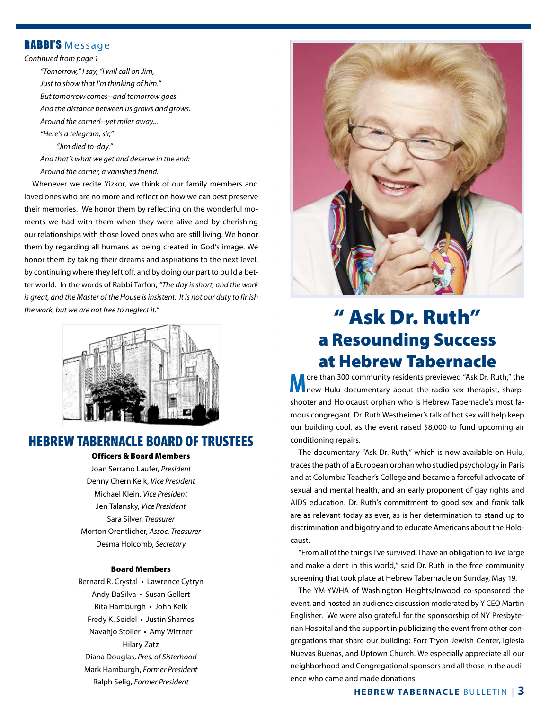#### RABBI'S Message

*Continued from page 1*

 *"Tomorrow," I say, "I will call on Jim, Just to show that I'm thinking of him." But tomorrow comes--and tomorrow goes. And the distance between us grows and grows. Around the corner!--yet miles away... "Here's a telegram, sir,"*

 *"Jim died to-day."*

 *And that's what we get and deserve in the end: Around the corner, a vanished friend.*

Whenever we recite Yizkor, we think of our family members and loved ones who are no more and reflect on how we can best preserve their memories. We honor them by reflecting on the wonderful moments we had with them when they were alive and by cherishing our relationships with those loved ones who are still living. We honor them by regarding all humans as being created in God's image. We honor them by taking their dreams and aspirations to the next level, by continuing where they left off, and by doing our part to build a better world. In the words of Rabbi Tarfon, *"The day is short, and the work is great, and the Master of the House is insistent. It is not our duty to finish* 



### HEBREW TABERNACLE BOARD OF TRUSTEES

Officers & Board Members

Joan Serrano Laufer, *President* Denny Chern Kelk, *Vice President* Michael Klein, *Vice President* Jen Talansky, *Vice President* Sara Silver, *Treasurer* Morton Orentlicher, *Assoc. Treasurer* Desma Holcomb, *Secretary*

#### Board Members

Bernard R. Crystal • Lawrence Cytryn Andy DaSilva • Susan Gellert Rita Hamburgh • John Kelk Fredy K. Seidel • Justin Shames Navahjo Stoller • Amy Wittner Hilary Zatz Diana Douglas, *Pres. of Sisterhood* Mark Hamburgh, *Former President* Ralph Selig, *Former President*



## *the work, but we are not free to neglect it."* The angless of the set of the set of the set of the set of the set of the set of the set of the set of the set of the set of the set of the set of the set of the set of the s a Resounding Success at Hebrew Tabernacle

**M** ore than 300 community residents previewed "Ask Dr. Ruth," the new Hulu documentary about the radio sex therapist, sharpshooter and Holocaust orphan who is Hebrew Tabernacle's most famous congregant. Dr. Ruth Westheimer's talk of hot sex will help keep our building cool, as the event raised \$8,000 to fund upcoming air conditioning repairs.

The documentary "Ask Dr. Ruth," which is now available on Hulu, traces the path of a European orphan who studied psychology in Paris and at Columbia Teacher's College and became a forceful advocate of sexual and mental health, and an early proponent of gay rights and AIDS education. Dr. Ruth's commitment to good sex and frank talk are as relevant today as ever, as is her determination to stand up to discrimination and bigotry and to educate Americans about the Holocaust.

"From all of the things I've survived, I have an obligation to live large and make a dent in this world," said Dr. Ruth in the free community screening that took place at Hebrew Tabernacle on Sunday, May 19.

The YM-YWHA of Washington Heights/Inwood co-sponsored the event, and hosted an audience discussion moderated by Y CEO Martin Englisher. We were also grateful for the sponsorship of NY Presbyterian Hospital and the support in publicizing the event from other congregations that share our building: Fort Tryon Jewish Center, Iglesia Nuevas Buenas, and Uptown Church. We especially appreciate all our neighborhood and Congregational sponsors and all those in the audience who came and made donations.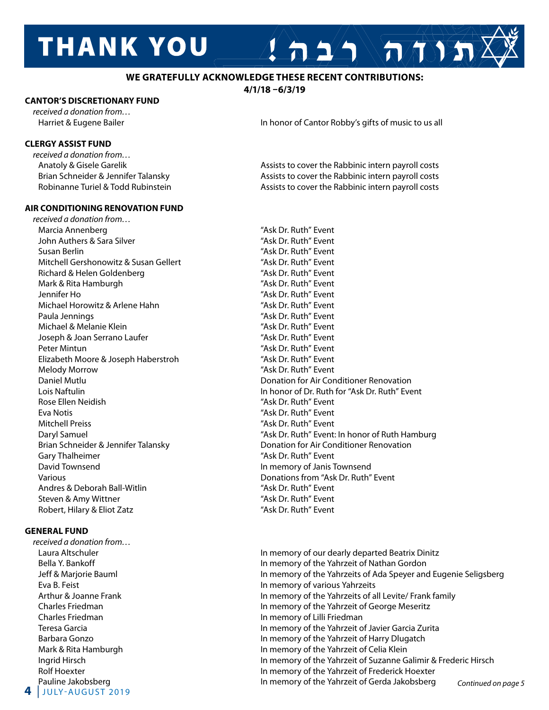# **THANK YOU**

#### **WE GRATEFULLY ACKNOWLEDGE THESE RECENT CONTRIBUTIONS:**

**4/1/18 –6/3/19**

#### **CANTOR'S DISCRETIONARY FUND**

*received a donation from…*

#### **CLERGY ASSIST FUND**

*received a donation from…*

Harriet & Eugene Bailer **In honor of Cantor Robby's gifts of music to us all** 

 $A = \sqrt{2} \sqrt{\pi N}$ 

Anatoly & Gisele Garelik Assists to cover the Rabbinic intern payroll costs Brian Schneider & Jennifer Talansky Assists to cover the Rabbinic intern payroll costs Robinanne Turiel & Todd Rubinstein **Assists to cover the Rabbinic intern payroll costs** Assists to cover the Rabbinic intern payroll costs

#### **AIR CONDITIONING RENOVATION FUND**

*received a donation from…* Marcia Annenberg "Ask Dr. Ruth" Event John Authers & Sara Silver New York 1988 (Assembly Ask Dr. Ruth" Event Susan Berlin "Ask Dr. Ruth" Event Mitchell Gershonowitz & Susan Gellert "Ask Dr. Ruth" Event Richard & Helen Goldenberg The Communication of "Ask Dr. Ruth" Event Mark & Rita Hamburgh "Ask Dr. Ruth" Event Jennifer Ho "Ask Dr. Ruth" Event Michael Horowitz & Arlene Hahn "Ask Dr. Ruth" Event Paula Jennings "Ask Dr. Ruth" Event Michael & Melanie Klein "Ask Dr. Ruth" Event Joseph & Joan Serrano Laufer The Controller and Mark Ask Dr. Ruth" Event Peter Mintun "Ask Dr. Ruth" Event Elizabeth Moore & Joseph Haberstroh "Ask Dr. Ruth" Event Melody Morrow "Ask Dr. Ruth" Event Rose Ellen Neidish "Ask Dr. Ruth" Event Eva Notis "Ask Dr. Ruth" Event Mitchell Preiss "Ask Dr. Ruth" Event Gary Thalheimer The Contract Contract Contract Contract Contract Contract Contract Contract Contract Contract Contract Contract Contract Contract Contract Contract Contract Contract Contract Contract Contract Contract Cont David Townsend In memory of Janis Townsend Various Donations from "Ask Dr. Ruth" Event Andres & Deborah Ball-Witlin The Controller of the Mary "Ask Dr. Ruth" Event Steven & Amy Wittner The Communication of the Marian Marshall Marshall (Ask Dr. Ruth" Event Robert, Hilary & Eliot Zatz **Access 20 YOS ASSETS** "Ask Dr. Ruth" Event

#### **GENERAL FUND**

**4** | july-august 2019 *received a donation from…*

 Daniel Mutlu Donation for Air Conditioner Renovation Lois Naftulin In honor of Dr. Ruth for "Ask Dr. Ruth" Event Daryl Samuel "Ask Dr. Ruth" Event: In honor of Ruth Hamburg Brian Schneider & Jennifer Talansky Donation for Air Conditioner Renovation

 Laura Altschuler In memory of our dearly departed Beatrix Dinitz Bella Y. Bankoff In memory of the Yahrzeit of Nathan Gordon Jeff & Marjorie Bauml In memory of the Yahrzeits of Ada Speyer and Eugenie Seligsberg Eva B. Feist In memory of various Yahrzeits Arthur & Joanne Frank In memory of the Yahrzeits of all Levite/ Frank family Charles Friedman In memory of the Yahrzeit of George Meseritz Charles Friedman **In Marson Charles Friedman** In memory of Lilli Friedman Teresa Garcia In memory of the Yahrzeit of Javier Garcia Zurita Barbara Gonzo **In memory of the Yahrzeit of Harry Dlugatch** In memory of the Yahrzeit of Harry Dlugatch Mark & Rita Hamburgh **In Mark & Rita Hamburgh In Memory of the Yahrzeit of Celia Klein**  Ingrid Hirsch In memory of the Yahrzeit of Suzanne Galimir & Frederic Hirsch Rolf Hoexter **In memory of the Yahrzeit of Frederick Hoexter** In memory of the Yahrzeit of Frederick Hoexter Pauline Jakobsberg In memory of the Yahrzeit of Gerda Jakobsberg *Continued on page 5*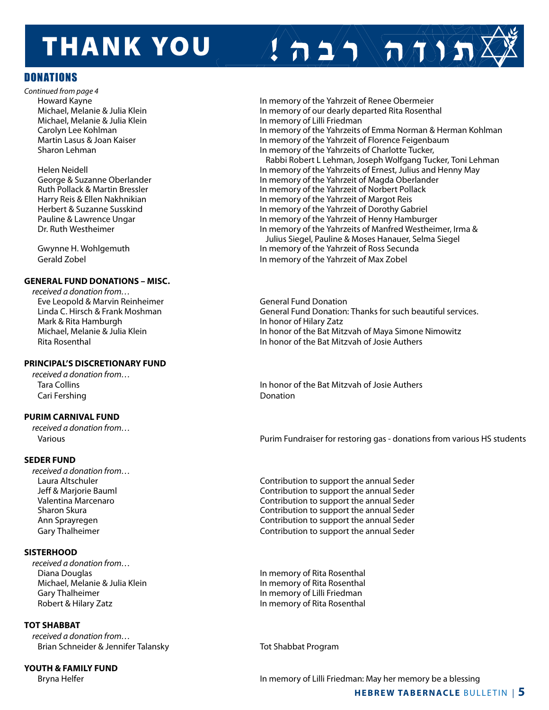# **THANK YOU**

### **DONATIONS**

*Continued from page 4* Michael, Melanie & Julia Klein In memory of Lilli Friedman

#### **GENERAL FUND DONATIONS – MISC.**

*received a donation from…* Eve Leopold & Marvin Reinheimer General Fund Donation

#### **PRINCIPAL'S DISCRETIONARY FUND**

*received a donation from…* Cari Fershing **Cari Fershing** Donation

#### **PURIM CARNIVAL FUND**

*received a donation from…*

#### **SEDER FUND**

*received a donation from…*

#### **SISTERHOOD**

*received a donation from…* Diana Douglas In memory of Rita Rosenthal Michael, Melanie & Julia Klein **In Michael, Melanie & Julia Klein** In memory of Rita Rosenthal Gary Thalheimer **In the Community of Lilli Friedman** Robert & Hilary Zatz In memory of Rita Rosenthal

#### **TOT SHABBAT**

*received a donation from…* Brian Schneider & Jennifer Talansky Tot Shabbat Program

**YOUTH & FAMILY FUND**

 Howard Kayne In memory of the Yahrzeit of Renee Obermeier Michael, Melanie & Julia Klein In memory of our dearly departed Rita Rosenthal Carolyn Lee Kohlman In memory of the Yahrzeits of Emma Norman & Herman Kohlman Martin Lasus & Joan Kaiser **In Martin Lasus & Joan Kaiser In Memory of the Yahrzeit of Florence Feigenbaum** Sharon Lehman **In memory of the Yahrzeits of Charlotte Tucker**, Rabbi Robert L Lehman, Joseph Wolfgang Tucker, Toni Lehman Helen Neidell In memory of the Yahrzeits of Ernest, Julius and Henny May George & Suzanne Oberlander In memory of the Yahrzeit of Magda Oberlander Ruth Pollack & Martin Bressler **In Martin 1988** In memory of the Yahrzeit of Norbert Pollack Harry Reis & Ellen Nakhnikian In memory of the Yahrzeit of Margot Reis Herbert & Suzanne Susskind<br>
Pauline & Lawrence Ungar<br>
In memory of the Yahrzeit of Henny Hamburg In memory of the Yahrzeit of Henny Hamburger Dr. Ruth Westheimer **In memory of the Yahrzeits of Manfred Westheimer**, Irma & Julius Siegel, Pauline & Moses Hanauer, Selma Siegel Gwynne H. Wohlgemuth In memory of the Yahrzeit of Ross Secunda

 $\sum_{i=1}^{n}$ 

Gerald Zobel In memory of the Yahrzeit of Max Zobel

Linda C. Hirsch & Frank Moshman General Fund Donation: Thanks for such beautiful services.<br>Mark & Rita Hamburgh General Fund on the Indonor of Hilary Zatz In honor of Hilary Zatz Michael, Melanie & Julia Klein In honor of the Bat Mitzvah of Maya Simone Nimowitz Rita Rosenthal In honor of the Bat Mitzvah of Josie Authers

Tara Collins In honor of the Bat Mitzvah of Josie Authers

Various Purim Fundraiser for restoring gas - donations from various HS students

 Laura Altschuler Contribution to support the annual Seder Jeff & Marjorie Bauml Contribution to support the annual Seder Contribution to support the annual Seder Sharon Skura Contribution to support the annual Seder Ann Sprayregen **Contribution to support the annual Seder** Gary Thalheimer **Contribution to support the annual Seder** Contribution to support the annual Seder

Bryna Helfer **In memory of Lilli Friedman: May her memory be a blessing**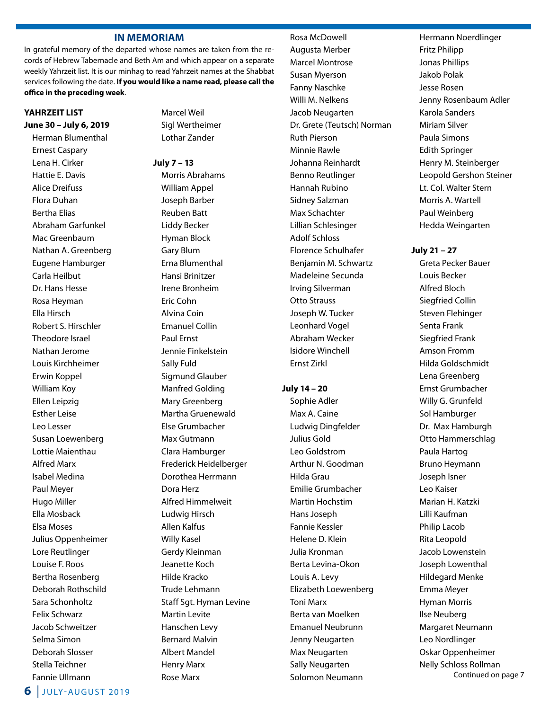#### **IN MEMORIAM**

In grateful memory of the departed whose names are taken from the records of Hebrew Tabernacle and Beth Am and which appear on a separate weekly Yahrzeit list. It is our minhag to read Yahrzeit names at the Shabbat services following the date. **If you would like a name read, please call the office in the preceding week**.

#### **YAHRZEIT LIST**

**June 30 – July 6, 2019** Herman Blumenthal Ernest Caspary Lena H. Cirker Hattie E. Davis Alice Dreifuss Flora Duhan Bertha Elias Abraham Garfunkel Mac Greenbaum Nathan A. Greenberg Eugene Hamburger Carla Heilbut Dr. Hans Hesse Rosa Heyman Ella Hirsch Robert S. Hirschler Theodore Israel Nathan Jerome Louis Kirchheimer Erwin Koppel William Koy Ellen Leipzig Esther Leise Leo Lesser Susan Loewenberg Lottie Maienthau Alfred Marx Isabel Medina Paul Meyer Hugo Miller Ella Mosback Elsa Moses Julius Oppenheimer Lore Reutlinger Louise F. Roos Bertha Rosenberg Deborah Rothschild Sara Schonholtz Felix Schwarz Jacob Schweitzer Selma Simon Deborah Slosser Stella Teichner Fannie Ullmann

### **July 7 – 13** Morris Abrahams William Appel Joseph Barber Reuben Batt Liddy Becker Hyman Block Gary Blum Erna Blumenthal Hansi Brinitzer Irene Bronheim Eric Cohn Alvina Coin Emanuel Collin Paul Ernst Jennie Finkelstein Sally Fuld Sigmund Glauber Manfred Golding Mary Greenberg Martha Gruenewald Else Grumbacher Max Gutmann Clara Hamburger Frederick Heidelberger Dorothea Herrmann Dora Herz Alfred Himmelweit Ludwig Hirsch Allen Kalfus Willy Kasel Gerdy Kleinman Jeanette Koch Hilde Kracko Trude Lehmann Staff Sgt. Hyman Levine Martin Levite Hanschen Levy Bernard Malvin Albert Mandel Henry Marx Rose Marx

Augusta Merber Marcel Montrose Susan Myerson Fanny Naschke Willi M. Nelkens Jacob Neugarten Dr. Grete (Teutsch) Norman Ruth Pierson Minnie Rawle Johanna Reinhardt Benno Reutlinger Hannah Rubino Sidney Salzman Max Schachter Lillian Schlesinger Adolf Schloss Florence Schulhafer Benjamin M. Schwartz Madeleine Secunda Irving Silverman Otto Strauss Joseph W. Tucker Leonhard Vogel Abraham Wecker Isidore Winchell Ernst Zirkl

Rosa McDowell

#### **July 14 – 20**

Sophie Adler Max A. Caine Ludwig Dingfelder Julius Gold Leo Goldstrom Arthur N. Goodman Hilda Grau Emilie Grumbacher Martin Hochstim Hans Joseph Fannie Kessler Helene D. Klein Julia Kronman Berta Levina-Okon Louis A. Levy Elizabeth Loewenberg Toni Marx Berta van Moelken Emanuel Neubrunn Jenny Neugarten Max Neugarten Sally Neugarten Solomon Neumann

Hermann Noerdlinger Fritz Philipp Jonas Phillips Jakob Polak Jesse Rosen Jenny Rosenbaum Adler Karola Sanders Miriam Silver Paula Simons Edith Springer Henry M. Steinberger Leopold Gershon Steiner Lt. Col. Walter Stern Morris A. Wartell Paul Weinberg Hedda Weingarten

#### **July 21 – 27**

Greta Pecker Bauer Louis Becker Alfred Bloch Siegfried Collin Steven Flehinger Senta Frank Siegfried Frank Amson Fromm Hilda Goldschmidt Lena Greenberg Ernst Grumbacher Willy G. Grunfeld Sol Hamburger Dr. Max Hamburgh Otto Hammerschlag Paula Hartog Bruno Heymann Joseph Isner Leo Kaiser Marian H. Katzki Lilli Kaufman Philip Lacob Rita Leopold Jacob Lowenstein Joseph Lowenthal Hildegard Menke Emma Meyer Hyman Morris Ilse Neuberg Margaret Neumann Leo Nordlinger Oskar Oppenheimer Nelly Schloss Rollman Continued on page 7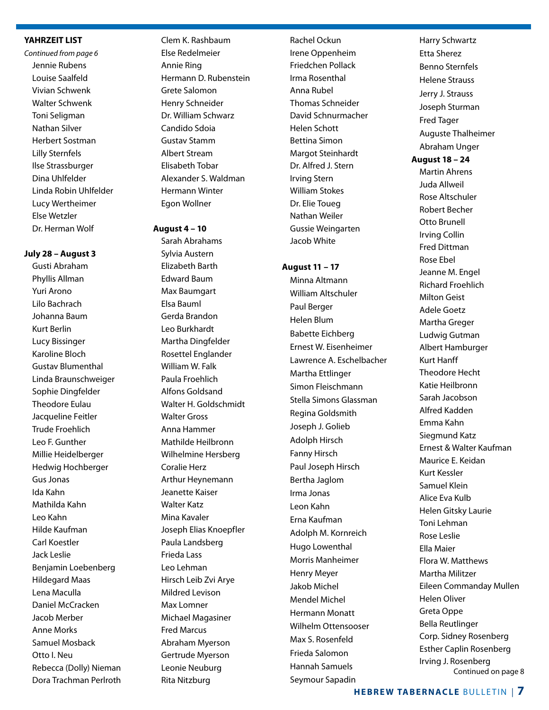#### **YAHRZEIT LIST**

*Continued from page 6* Jennie Rubens Louise Saalfeld Vivian Schwenk Walter Schwenk Toni Seligman Nathan Silver Herbert Sostman Lilly Sternfels Ilse Strassburger Dina Uhlfelder Linda Robin Uhlfelder Lucy Wertheimer Else Wetzler Dr. Herman Wolf

#### **July 28 – August 3**

Gusti Abraham Phyllis Allman Yuri Arono Lilo Bachrach Johanna Baum Kurt Berlin Lucy Bissinger Karoline Bloch Gustav Blumenthal Linda Braunschweiger Sophie Dingfelder Theodore Eulau Jacqueline Feitler Trude Froehlich Leo F. Gunther Millie Heidelberger Hedwig Hochberger Gus Jonas Ida Kahn Mathilda Kahn Leo Kahn Hilde Kaufman Carl Koestler Jack Leslie Benjamin Loebenberg Hildegard Maas Lena Maculla Daniel McCracken Jacob Merber Anne Morks Samuel Mosback Otto I. Neu Rebecca (Dolly) Nieman Dora Trachman Perlroth

Clem K. Rashbaum Else Redelmeier Annie Ring Hermann D. Rubenstein Grete Salomon Henry Schneider Dr. William Schwarz Candido Sdoia Gustav Stamm Albert Stream Elisabeth Tobar Alexander S. Waldman Hermann Winter Egon Wollner

#### **August 4 – 10**

Sarah Abrahams Sylvia Austern Elizabeth Barth Edward Baum Max Baumgart Elsa Bauml Gerda Brandon Leo Burkhardt Martha Dingfelder Rosettel Englander William W. Falk Paula Froehlich Alfons Goldsand Walter H. Goldschmidt Walter Gross Anna Hammer Mathilde Heilbronn Wilhelmine Hersberg Coralie Herz Arthur Heynemann Jeanette Kaiser Walter Katz Mina Kavaler Joseph Elias Knoepfler Paula Landsberg Frieda Lass Leo Lehman Hirsch Leib Zvi Arye Mildred Levison Max Lomner Michael Magasiner Fred Marcus Abraham Myerson Gertrude Myerson Leonie Neuburg Rita Nitzburg

Rachel Ockun Irene Oppenheim Friedchen Pollack Irma Rosenthal Anna Rubel Thomas Schneider David Schnurmacher Helen Schott Bettina Simon Margot Steinhardt Dr. Alfred J. Stern Irving Stern William Stokes Dr. Elie Toueg Nathan Weiler Gussie Weingarten Jacob White

#### **August 11 – 17**

Minna Altmann William Altschuler Paul Berger Helen Blum Babette Eichberg Ernest W. Eisenheimer Lawrence A. Eschelbacher Martha Ettlinger Simon Fleischmann Stella Simons Glassman Regina Goldsmith Joseph J. Golieb Adolph Hirsch Fanny Hirsch Paul Joseph Hirsch Bertha Jaglom Irma Jonas Leon Kahn Erna Kaufman Adolph M. Kornreich Hugo Lowenthal Morris Manheimer Henry Meyer Jakob Michel Mendel Michel Hermann Monatt Wilhelm Ottensooser Max S. Rosenfeld Frieda Salomon Hannah Samuels Seymour Sapadin

Harry Schwartz Etta Sherez Benno Sternfels Helene Strauss Jerry J. Strauss Joseph Sturman Fred Tager Auguste Thalheimer Abraham Unger **August 18 – 24** Martin Ahrens Juda Allweil Rose Altschuler Robert Becher Otto Brunell Irving Collin Fred Dittman Rose Ebel Jeanne M. Engel Richard Froehlich Milton Geist Adele Goetz Martha Greger Ludwig Gutman Albert Hamburger Kurt Hanff Theodore Hecht Katie Heilbronn Sarah Jacobson Alfred Kadden Emma Kahn Siegmund Katz Ernest & Walter Kaufman Maurice E. Keidan Kurt Kessler Samuel Klein Alice Eva Kulb Helen Gitsky Laurie Toni Lehman Rose Leslie Ella Maier Flora W. Matthews Martha Militzer Eileen Commanday Mullen Helen Oliver Greta Oppe Bella Reutlinger Corp. Sidney Rosenberg Esther Caplin Rosenberg Irving J. Rosenberg Continued on page 8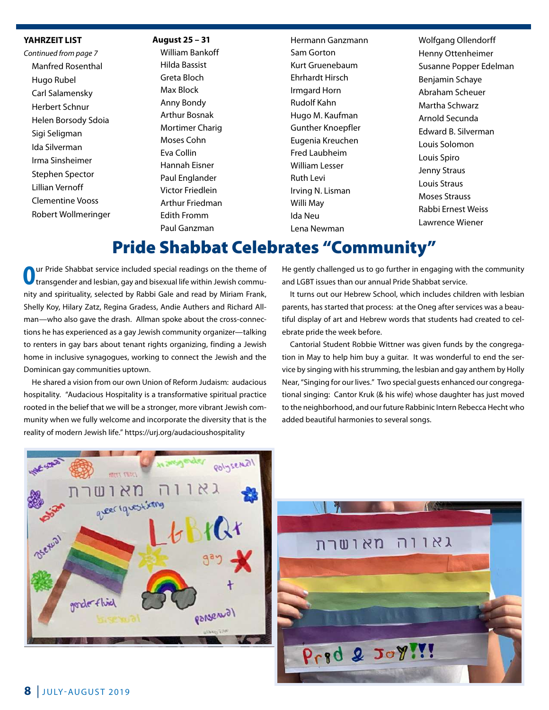#### **YAHRZEIT LIST**

*Continued from page 7* Manfred Rosenthal Hugo Rubel Carl Salamensky Herbert Schnur Helen Borsody Sdoia Sigi Seligman Ida Silverman Irma Sinsheimer Stephen Spector Lillian Vernoff Clementine Vooss Robert Wollmeringer

#### **August 25 – 31**

William Bankoff Hilda Bassist Greta Bloch Max Block Anny Bondy Arthur Bosnak Mortimer Charig Moses Cohn Eva Collin Hannah Eisner Paul Englander Victor Friedlein Arthur Friedman Edith Fromm Paul Ganzman

Hermann Ganzmann Sam Gorton Kurt Gruenebaum Ehrhardt Hirsch Irmgard Horn Rudolf Kahn Hugo M. Kaufman Gunther Knoepfler Eugenia Kreuchen Fred Laubheim William Lesser Ruth Levi Irving N. Lisman Willi May Ida Neu Lena Newman

Wolfgang Ollendorff Henny Ottenheimer Susanne Popper Edelman Benjamin Schaye Abraham Scheuer Martha Schwarz Arnold Secunda Edward B. Silverman Louis Solomon Louis Spiro Jenny Straus Louis Straus Moses Strauss Rabbi Ernest Weiss Lawrence Wiener

### Pride Shabbat Celebrates "Community"

**O**ur Pride Shabbat service included special readings on the theme of transgender and lesbian, gay and bisexual life within Jewish community and spirituality, selected by Rabbi Gale and read by Miriam Frank, Shelly Koy, Hilary Zatz, Regina Gradess, Andie Authers and Richard Allman—who also gave the drash. Allman spoke about the cross-connections he has experienced as a gay Jewish community organizer—talking to renters in gay bars about tenant rights organizing, finding a Jewish home in inclusive synagogues, working to connect the Jewish and the Dominican gay communities uptown.

He shared a vision from our own Union of Reform Judaism: audacious hospitality. "Audacious Hospitality is a transformative spiritual practice rooted in the belief that we will be a stronger, more vibrant Jewish community when we fully welcome and incorporate the diversity that is the reality of modern Jewish life." https://urj.org/audacioushospitality

He gently challenged us to go further in engaging with the community and LGBT issues than our annual Pride Shabbat service.

It turns out our Hebrew School, which includes children with lesbian parents, has started that process: at the Oneg after services was a beautiful display of art and Hebrew words that students had created to celebrate pride the week before.

Cantorial Student Robbie Wittner was given funds by the congregation in May to help him buy a guitar. It was wonderful to end the service by singing with his strumming, the lesbian and gay anthem by Holly Near, "Singing for our lives." Two special guests enhanced our congregational singing: Cantor Kruk (& his wife) whose daughter has just moved to the neighborhood, and our future Rabbinic Intern Rebecca Hecht who added beautiful harmonies to several songs.



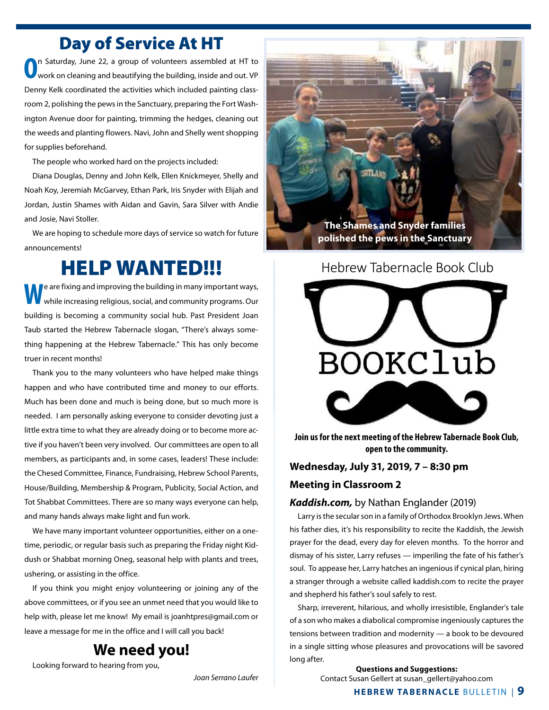## Day of Service At HT

**O** n Saturday, June 22, a group of volunteers assembled at HT to work on cleaning and beautifying the building, inside and out. VP Denny Kelk coordinated the activities which included painting classroom 2, polishing the pews in the Sanctuary, preparing the Fort Washington Avenue door for painting, trimming the hedges, cleaning out the weeds and planting flowers. Navi, John and Shelly went shopping for supplies beforehand.

The people who worked hard on the projects included:

Diana Douglas, Denny and John Kelk, Ellen Knickmeyer, Shelly and Noah Koy, Jeremiah McGarvey, Ethan Park, Iris Snyder with Elijah and Jordan, Justin Shames with Aidan and Gavin, Sara Silver with Andie and Josie, Navi Stoller.

We are hoping to schedule more days of service so watch for future announcements!

## HELP WANTED!!!

**e** are fixing and improving the building in many important ways, while increasing religious, social, and community programs. Our building is becoming a community social hub. Past President Joan Taub started the Hebrew Tabernacle slogan, "There's always something happening at the Hebrew Tabernacle." This has only become truer in recent months!

Thank you to the many volunteers who have helped make things happen and who have contributed time and money to our efforts. Much has been done and much is being done, but so much more is needed. I am personally asking everyone to consider devoting just a little extra time to what they are already doing or to become more active if you haven't been very involved. Our committees are open to all members, as participants and, in some cases, leaders! These include: the Chesed Committee, Finance, Fundraising, Hebrew School Parents, House/Building, Membership & Program, Publicity, Social Action, and Tot Shabbat Committees. There are so many ways everyone can help, and many hands always make light and fun work.

We have many important volunteer opportunities, either on a onetime, periodic, or regular basis such as preparing the Friday night Kiddush or Shabbat morning Oneg, seasonal help with plants and trees, ushering, or assisting in the office.

If you think you might enjoy volunteering or joining any of the above committees, or if you see an unmet need that you would like to help with, please let me know! My email is joanhtpres@gmail.com or leave a message for me in the office and I will call you back!

### **We need you!**

Looking forward to hearing from you,

*Joan Serrano Laufer*

**RTLAND The Shames and Snyder families polished the pews in the Sanctuary**Hebrew Tabernacle Book Club

### Hebrew Tabernacle Book Club



**Join us for the next meeting of the Hebrew Tabernacle Book Club, open to the community. Join us for the next meeting of the Hebrew Tabernacle Book Club, open to the community.**

#### Wednesday, July 31, 2019, 7 – 8:30 pm **Meeting in Classroom 2**  $\text{Fermi}$  and which comes a line  $\text{Fermi}$

### Kaddish.com, by Nathan Englander (2019)

Larry is the secular son in a family of Orthodox Brooklyn Jews. When his father dies, it's his responsibility to recite the Kaddish, the Jewish praver for the dead, every day for eleven months. To the horror and prayer for the dead, every day for eleven months. To the horror and dismay of his sister, Larry refuses — imperiling the fate of his father's  $\mathcal{S}$  that's how Stella Suberman's store, Bronson's  $\mathcal{S}$  and  $\mathcal{S}$ soul. To appease her, Larry hatches an ingenious if cynical plan, hiring population: 5,318) of one main street, one bank, one drugstore, one picture show, one feed and seed, a stranger through a website called kaddish.com to recite the prayer and shepherd his father's soul safely to rest.

Sharp, irreverent, hilarious, and wholly irresistible, Englander's tale of a son who makes a diabolical compromise ingeniously captures the tensions between tradition and modernity — a book to be devoured in a single sitting whose pleasures and provocations will be savored long after.

> **Questions and Suggestions:** Contact Susan Gellert at susan\_gellert@yahoo.com **hebrew tabernacle** bulletin | **9**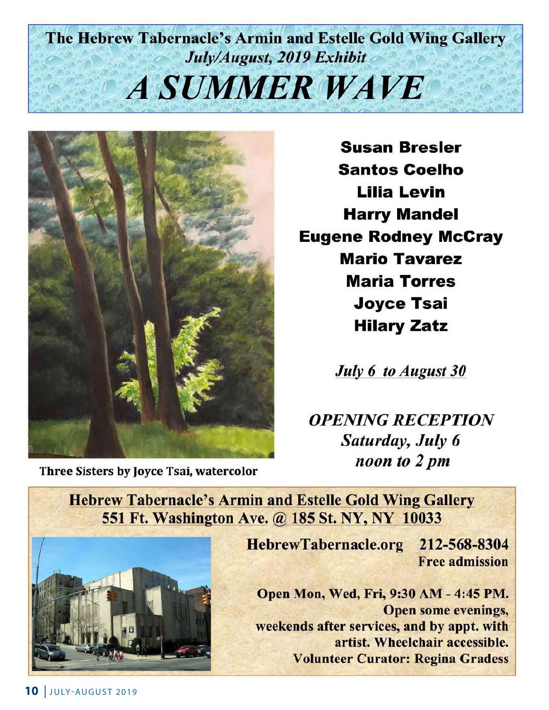# The Hebrew Tabernacle's Armin and Estelle Gold Wing Gallery July/August, 2019 Exhibit **A SUMMER WAVE**



Three Sisters by Joyce Tsai, watercolor

**Susan Bresler Santos Coelho Lilia Levin Harry Mandel Eugene Rodney McCray Mario Tavarez Maria Torres Joyce Tsai Hilary Zatz** 

**July 6 to August 30** 

**OPENING RECEPTION** Saturday, July 6 noon to 2 pm

**Hebrew Tabernacle's Armin and Estelle Gold Wing Gallery** 551 Ft. Washington Ave. @ 185 St. NY, NY 10033



212-568-8304 HebrewTabernacle.org **Free admission** 

Open Mon, Wed, Fri, 9:30 AM - 4:45 PM. **Open some evenings,** weekends after services, and by appt. with artist. Wheelchair accessible. **Volunteer Curator: Regina Gradess**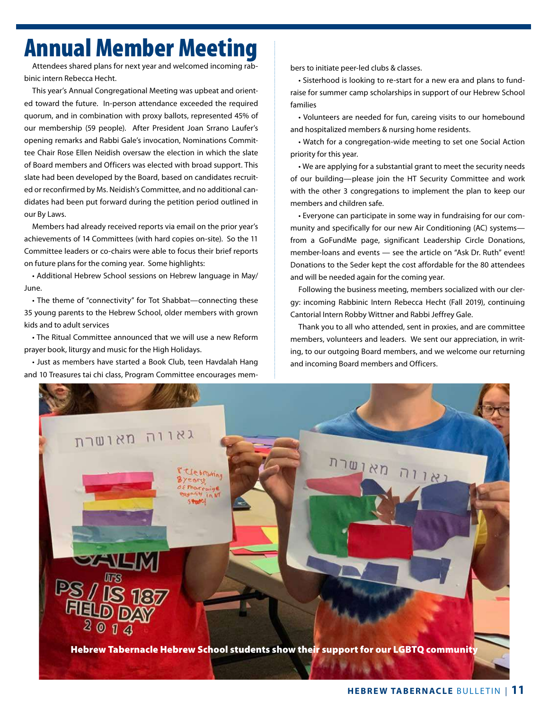# Annual Member Meeting

Attendees shared plans for next year and welcomed incoming rabbinic intern Rebecca Hecht.

This year's Annual Congregational Meeting was upbeat and oriented toward the future. In-person attendance exceeded the required quorum, and in combination with proxy ballots, represented 45% of our membership (59 people). After President Joan Srrano Laufer's opening remarks and Rabbi Gale's invocation, Nominations Committee Chair Rose Ellen Neidish oversaw the election in which the slate of Board members and Officers was elected with broad support. This slate had been developed by the Board, based on candidates recruited or reconfirmed by Ms. Neidish's Committee, and no additional candidates had been put forward during the petition period outlined in our By Laws.

Members had already received reports via email on the prior year's achievements of 14 Committees (with hard copies on-site). So the 11 Committee leaders or co-chairs were able to focus their brief reports on future plans for the coming year. Some highlights:

• Additional Hebrew School sessions on Hebrew language in May/ June.

• The theme of "connectivity" for Tot Shabbat—connecting these 35 young parents to the Hebrew School, older members with grown kids and to adult services

• The Ritual Committee announced that we will use a new Reform prayer book, liturgy and music for the High Holidays.

• Just as members have started a Book Club, teen Havdalah Hang and 10 Treasures tai chi class, Program Committee encourages members to initiate peer-led clubs & classes.

• Sisterhood is looking to re-start for a new era and plans to fundraise for summer camp scholarships in support of our Hebrew School families

• Volunteers are needed for fun, careing visits to our homebound and hospitalized members & nursing home residents.

• Watch for a congregation-wide meeting to set one Social Action priority for this year.

• We are applying for a substantial grant to meet the security needs of our building—please join the HT Security Committee and work with the other 3 congregations to implement the plan to keep our members and children safe.

• Everyone can participate in some way in fundraising for our community and specifically for our new Air Conditioning (AC) systems from a GoFundMe page, significant Leadership Circle Donations, member-loans and events — see the article on "Ask Dr. Ruth" event! Donations to the Seder kept the cost affordable for the 80 attendees and will be needed again for the coming year.

Following the business meeting, members socialized with our clergy: incoming Rabbinic Intern Rebecca Hecht (Fall 2019), continuing Cantorial Intern Robby Wittner and Rabbi Jeffrey Gale.

Thank you to all who attended, sent in proxies, and are committee members, volunteers and leaders. We sent our appreciation, in writing, to our outgoing Board members, and we welcome our returning and incoming Board members and Officers.